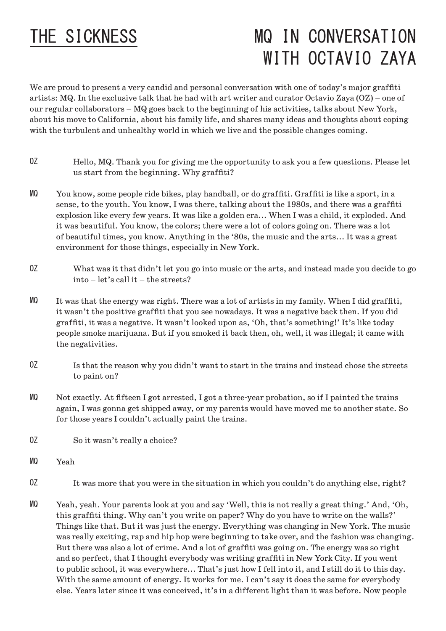## THE SICKNESS

## MQ IN CONVERSATION WITH OCTAVIO ZAYA

We are proud to present a very candid and personal conversation with one of today's major graffiti artists: MQ. In the exclusive talk that he had with art writer and curator Octavio Zaya (OZ) – one of our regular collaborators – MQ goes back to the beginning of his activities, talks about New York, about his move to California, about his family life, and shares many ideas and thoughts about coping with the turbulent and unhealthy world in which we live and the possible changes coming.

- Hello, MQ. Thank you for giving me the opportunity to ask you a few questions. Please let us start from the beginning. Why graffiti? OZ
- You know, some people ride bikes, play handball, or do graffiti. Graffiti is like a sport, in a sense, to the youth. You know, I was there, talking about the 1980s, and there was a graffiti explosion like every few years. It was like a golden era... When I was a child, it exploded. And it was beautiful. You know, the colors; there were a lot of colors going on. There was a lot of beautiful times, you know. Anything in the '80s, the music and the arts... It was a great environment for those things, especially in New York. MQ
- What was it that didn't let you go into music or the arts, and instead made you decide to go into – let's call it – the streets? OZ
- It was that the energy was right. There was a lot of artists in my family. When I did graffiti, it wasn't the positive graffiti that you see nowadays. It was a negative back then. If you did graffiti, it was a negative. It wasn't looked upon as, 'Oh, that's something!' It's like today people smoke marijuana. But if you smoked it back then, oh, well, it was illegal; it came with the negativities. MQ
- Is that the reason why you didn't want to start in the trains and instead chose the streets to paint on? OZ
- Not exactly. At fifteen I got arrested, I got a three-year probation, so if I painted the trains again, I was gonna get shipped away, or my parents would have moved me to another state. So for those years I couldn't actually paint the trains. MQ
- So it wasn't really a choice? OZ
- Yeah MQ
- It was more that you were in the situation in which you couldn't do anything else, right? OZ
- Yeah, yeah. Your parents look at you and say 'Well, this is not really a great thing.' And, 'Oh, this graffiti thing. Why can't you write on paper? Why do you have to write on the walls?' Things like that. But it was just the energy. Everything was changing in New York. The music was really exciting, rap and hip hop were beginning to take over, and the fashion was changing. But there was also a lot of crime. And a lot of graffiti was going on. The energy was so right and so perfect, that I thought everybody was writing graffiti in New York City. If you went to public school, it was everywhere... That's just how I fell into it, and I still do it to this day. With the same amount of energy. It works for me. I can't say it does the same for everybody else. Years later since it was conceived, it's in a different light than it was before. Now people MQ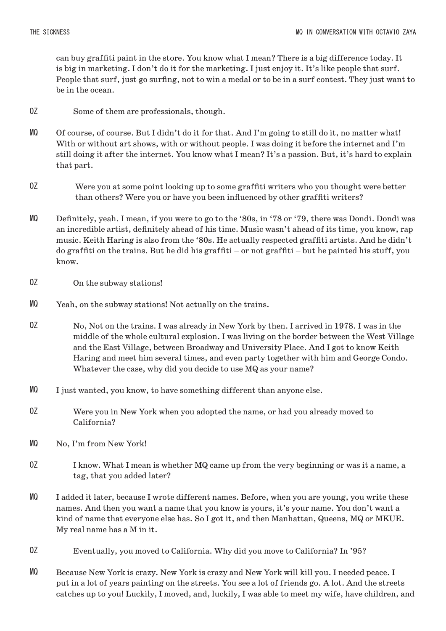can buy graffiti paint in the store. You know what I mean? There is a big difference today. It is big in marketing. I don't do it for the marketing. I just enjoy it. It's like people that surf. People that surf, just go surfing, not to win a medal or to be in a surf contest. They just want to be in the ocean.

- Some of them are professionals, though. OZ
- Of course, of course. But I didn't do it for that. And I'm going to still do it, no matter what! With or without art shows, with or without people. I was doing it before the internet and I'm still doing it after the internet. You know what I mean? It's a passion. But, it's hard to explain that part. MQ
- Were you at some point looking up to some graffiti writers who you thought were better than others? Were you or have you been influenced by other graffiti writers? OZ
- Definitely, yeah. I mean, if you were to go to the '80s, in '78 or '79, there was Dondi. Dondi was an incredible artist, definitely ahead of his time. Music wasn't ahead of its time, you know, rap music. Keith Haring is also from the '80s. He actually respected graffiti artists. And he didn't do graffiti on the trains. But he did his graffiti – or not graffiti – but he painted his stuff, you know. MQ
- On the subway stations! OZ
- Yeah, on the subway stations! Not actually on the trains. MQ
- No, Not on the trains. I was already in New York by then. I arrived in 1978. I was in the middle of the whole cultural explosion. I was living on the border between the West Village and the East Village, between Broadway and University Place. And I got to know Keith Haring and meet him several times, and even party together with him and George Condo. Whatever the case, why did you decide to use MQ as your name? OZ
- I just wanted, you know, to have something different than anyone else. MQ
- Were you in New York when you adopted the name, or had you already moved to California? OZ
- No, I'm from New York! MQ
- I know. What I mean is whether MQ came up from the very beginning or was it a name, a tag, that you added later? OZ
- I added it later, because I wrote different names. Before, when you are young, you write these names. And then you want a name that you know is yours, it's your name. You don't want a kind of name that everyone else has. So I got it, and then Manhattan, Queens, MQ or MKUE. My real name has a M in it. MQ
- Eventually, you moved to California. Why did you move to California? In '95? OZ
- Because New York is crazy. New York is crazy and New York will kill you. I needed peace. I put in a lot of years painting on the streets. You see a lot of friends go. A lot. And the streets catches up to you! Luckily, I moved, and, luckily, I was able to meet my wife, have children, and MQ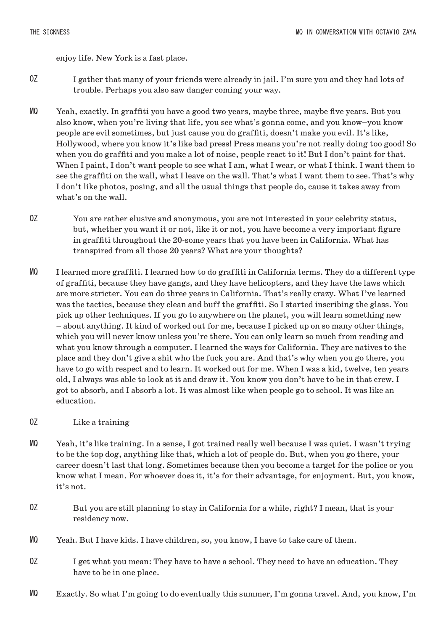enjoy life. New York is a fast place.

- I gather that many of your friends were already in jail. I'm sure you and they had lots of trouble. Perhaps you also saw danger coming your way. OZ
- Yeah, exactly. In graffiti you have a good two years, maybe three, maybe five years. But you also know, when you're living that life, you see what's gonna come, and you know–you know people are evil sometimes, but just cause you do graffiti, doesn't make you evil. It's like, Hollywood, where you know it's like bad press! Press means you're not really doing too good! So when you do graffiti and you make a lot of noise, people react to it! But I don't paint for that. When I paint, I don't want people to see what I am, what I wear, or what I think. I want them to see the graffiti on the wall, what I leave on the wall. That's what I want them to see. That's why I don't like photos, posing, and all the usual things that people do, cause it takes away from what's on the wall. MQ
- You are rather elusive and anonymous, you are not interested in your celebrity status, but, whether you want it or not, like it or not, you have become a very important figure in graffiti throughout the 20-some years that you have been in California. What has transpired from all those 20 years? What are your thoughts? OZ
- I learned more graffiti. I learned how to do graffiti in California terms. They do a different type of graffiti, because they have gangs, and they have helicopters, and they have the laws which are more stricter. You can do three years in California. That's really crazy. What I've learned was the tactics, because they clean and buff the graffiti. So I started inscribing the glass. You pick up other techniques. If you go to anywhere on the planet, you will learn something new – about anything. It kind of worked out for me, because I picked up on so many other things, which you will never know unless you're there. You can only learn so much from reading and what you know through a computer. I learned the ways for California. They are natives to the place and they don't give a shit who the fuck you are. And that's why when you go there, you have to go with respect and to learn. It worked out for me. When I was a kid, twelve, ten years old, I always was able to look at it and draw it. You know you don't have to be in that crew. I got to absorb, and I absorb a lot. It was almost like when people go to school. It was like an education. MQ

## Like a training OZ

- Yeah, it's like training. In a sense, I got trained really well because I was quiet. I wasn't trying to be the top dog, anything like that, which a lot of people do. But, when you go there, your career doesn't last that long. Sometimes because then you become a target for the police or you know what I mean. For whoever does it, it's for their advantage, for enjoyment. But, you know, it's not. MQ
- But you are still planning to stay in California for a while, right? I mean, that is your residency now. OZ
- Yeah. But I have kids. I have children, so, you know, I have to take care of them. MQ
- I get what you mean: They have to have a school. They need to have an education. They have to be in one place. OZ
- Exactly. So what I'm going to do eventually this summer, I'm gonna travel. And, you know, I'm MQ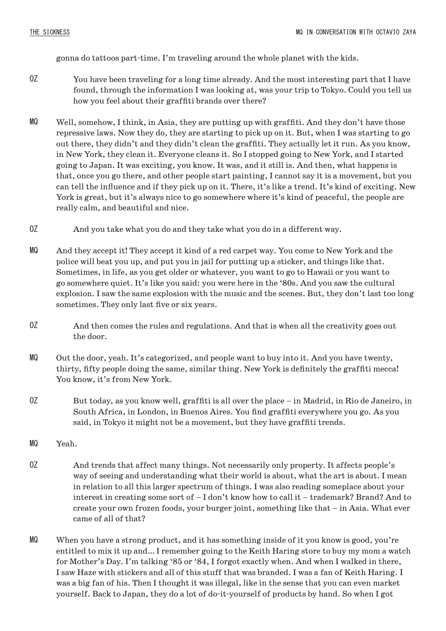gonna do tattoos part-time. I'm traveling around the whole planet with the kids.

- You have been traveling for a long time already. And the most interesting part that I have found, through the information I was looking at, was your trip to Tokyo. Could you tell us how you feel about their graffiti brands over there? OZ
- Well, somehow, I think, in Asia, they are putting up with graffiti. And they don't have those repressive laws. Now they do, they are starting to pick up on it. But, when I was starting to go out there, they didn't and they didn't clean the graffiti. They actually let it run. As you know, in New York, they clean it. Everyone cleans it. So I stopped going to New York, and I started going to Japan. It was exciting, you know. It was, and it still is. And then, what happens is that, once you go there, and other people start painting, I cannot say it is a movement, but you can tell the influence and if they pick up on it. There, it's like a trend. It's kind of exciting. New York is great, but it's always nice to go somewhere where it's kind of peaceful, the people are really calm, and beautiful and nice. MQ
- And you take what you do and they take what you do in a different way. OZ
- And they accept it! They accept it kind of a red carpet way. You come to New York and the police will beat you up, and put you in jail for putting up a sticker, and things like that. Sometimes, in life, as you get older or whatever, you want to go to Hawaii or you want to go somewhere quiet. It's like you said: you were here in the '80s. And you saw the cultural explosion. I saw the same explosion with the music and the scenes. But, they don't last too long sometimes. They only last five or six years. MQ
- And then comes the rules and regulations. And that is when all the creativity goes out the door. OZ
- Out the door, yeah. It's categorized, and people want to buy into it. And you have twenty, thirty, fifty people doing the same, similar thing. New York is definitely the graffiti mecca! You know, it's from New York. MQ
- But today, as you know well, graffiti is all over the place in Madrid, in Rio de Janeiro, in South Africa, in London, in Buenos Aires. You find graffiti everywhere you go. As you said, in Tokyo it might not be a movement, but they have graffiti trends. OZ
- Yeah. MQ
- And trends that affect many things. Not necessarily only property. It affects people's way of seeing and understanding what their world is about, what the art is about. I mean in relation to all this larger spectrum of things. I was also reading someplace about your interest in creating some sort of – I don't know how to call it – trademark? Brand? And to create your own frozen foods, your burger joint, something like that – in Asia. What ever came of all of that? OZ
- When you have a strong product, and it has something inside of it you know is good, you're entitled to mix it up and… I remember going to the Keith Haring store to buy my mom a watch for Mother's Day. I'm talking '85 or '84, I forgot exactly when. And when I walked in there, I saw Haze with stickers and all of this stuff that was branded. I was a fan of Keith Haring. I was a big fan of his. Then I thought it was illegal, like in the sense that you can even market yourself. Back to Japan, they do a lot of do-it-yourself of products by hand. So when I got MQ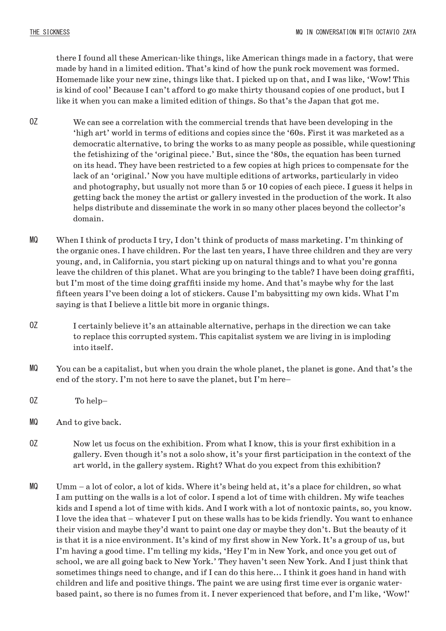there I found all these American-like things, like American things made in a factory, that were made by hand in a limited edition. That's kind of how the punk rock movement was formed. Homemade like your new zine, things like that. I picked up on that, and I was like, 'Wow! This is kind of cool' Because I can't afford to go make thirty thousand copies of one product, but I like it when you can make a limited edition of things. So that's the Japan that got me.

- We can see a correlation with the commercial trends that have been developing in the 'high art' world in terms of editions and copies since the '60s. First it was marketed as a democratic alternative, to bring the works to as many people as possible, while questioning the fetishizing of the 'original piece.' But, since the '80s, the equation has been turned on its head. They have been restricted to a few copies at high prices to compensate for the lack of an 'original.' Now you have multiple editions of artworks, particularly in video and photography, but usually not more than 5 or 10 copies of each piece. I guess it helps in getting back the money the artist or gallery invested in the production of the work. It also helps distribute and disseminate the work in so many other places beyond the collector's domain. OZ
- When I think of products I try, I don't think of products of mass marketing. I'm thinking of the organic ones. I have children. For the last ten years, I have three children and they are very young, and, in California, you start picking up on natural things and to what you're gonna leave the children of this planet. What are you bringing to the table? I have been doing graffiti, but I'm most of the time doing graffiti inside my home. And that's maybe why for the last fifteen years I've been doing a lot of stickers. Cause I'm babysitting my own kids. What I'm saying is that I believe a little bit more in organic things. MQ
- I certainly believe it's an attainable alternative, perhaps in the direction we can take to replace this corrupted system. This capitalist system we are living in is imploding into itself. OZ
- You can be a capitalist, but when you drain the whole planet, the planet is gone. And that's the end of the story. I'm not here to save the planet, but I'm here– MQ
- To help– OZ
- And to give back. MQ
- Now let us focus on the exhibition. From what I know, this is your first exhibition in a gallery. Even though it's not a solo show, it's your first participation in the context of the art world, in the gallery system. Right? What do you expect from this exhibition? OZ
- Umm a lot of color, a lot of kids. Where it's being held at, it's a place for children, so what I am putting on the walls is a lot of color. I spend a lot of time with children. My wife teaches kids and I spend a lot of time with kids. And I work with a lot of nontoxic paints, so, you know. I love the idea that – whatever I put on these walls has to be kids friendly. You want to enhance their vision and maybe they'd want to paint one day or maybe they don't. But the beauty of it is that it is a nice environment. It's kind of my first show in New York. It's a group of us, but I'm having a good time. I'm telling my kids, 'Hey I'm in New York, and once you get out of school, we are all going back to New York.' They haven't seen New York. And I just think that sometimes things need to change, and if I can do this here... I think it goes hand in hand with children and life and positive things. The paint we are using first time ever is organic waterbased paint, so there is no fumes from it. I never experienced that before, and I'm like, 'Wow!' MQ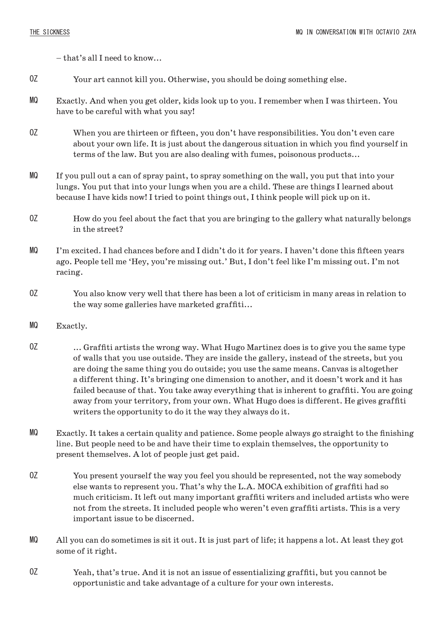– that's all I need to know...

- Your art cannot kill you. Otherwise, you should be doing something else. OZ
- Exactly. And when you get older, kids look up to you. I remember when I was thirteen. You have to be careful with what you say! MQ
- When you are thirteen or fifteen, you don't have responsibilities. You don't even care about your own life. It is just about the dangerous situation in which you find yourself in terms of the law. But you are also dealing with fumes, poisonous products... OZ
- If you pull out a can of spray paint, to spray something on the wall, you put that into your lungs. You put that into your lungs when you are a child. These are things I learned about because I have kids now! I tried to point things out, I think people will pick up on it. MQ
- How do you feel about the fact that you are bringing to the gallery what naturally belongs in the street? OZ
- I'm excited. I had chances before and I didn't do it for years. I haven't done this fifteen years ago. People tell me 'Hey, you're missing out.' But, I don't feel like I'm missing out. I'm not racing. MQ
- You also know very well that there has been a lot of criticism in many areas in relation to the way some galleries have marketed graffiti... OZ
- Exactly. MQ
- ... Graffiti artists the wrong way. What Hugo Martinez does is to give you the same type of walls that you use outside. They are inside the gallery, instead of the streets, but you are doing the same thing you do outside; you use the same means. Canvas is altogether a different thing. It's bringing one dimension to another, and it doesn't work and it has failed because of that. You take away everything that is inherent to graffiti. You are going away from your territory, from your own. What Hugo does is different. He gives graffiti writers the opportunity to do it the way they always do it. OZ
- Exactly. It takes a certain quality and patience. Some people always go straight to the finishing line. But people need to be and have their time to explain themselves, the opportunity to present themselves. A lot of people just get paid. MQ
- You present yourself the way you feel you should be represented, not the way somebody else wants to represent you. That's why the L.A. MOCA exhibition of graffiti had so much criticism. It left out many important graffiti writers and included artists who were not from the streets. It included people who weren't even graffiti artists. This is a very important issue to be discerned. OZ
- All you can do sometimes is sit it out. It is just part of life; it happens a lot. At least they got some of it right. MQ
- Yeah, that's true. And it is not an issue of essentializing graffiti, but you cannot be opportunistic and take advantage of a culture for your own interests. OZ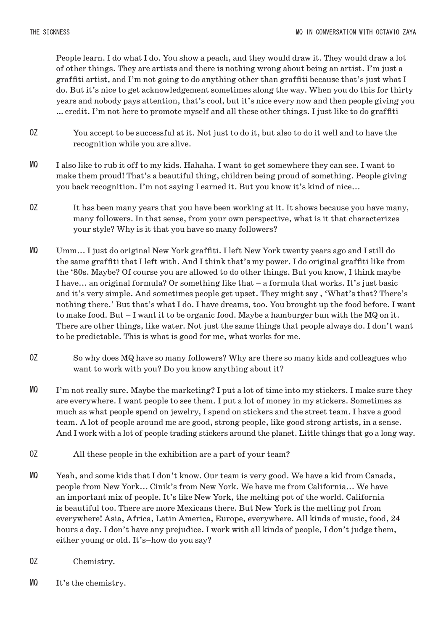People learn. I do what I do. You show a peach, and they would draw it. They would draw a lot of other things. They are artists and there is nothing wrong about being an artist. I'm just a graffiti artist, and I'm not going to do anything other than graffiti because that's just what I do. But it's nice to get acknowledgement sometimes along the way. When you do this for thirty years and nobody pays attention, that's cool, but it's nice every now and then people giving you … credit. I'm not here to promote myself and all these other things. I just like to do graffiti

- You accept to be successful at it. Not just to do it, but also to do it well and to have the recognition while you are alive. OZ
- I also like to rub it off to my kids. Hahaha. I want to get somewhere they can see. I want to make them proud! That's a beautiful thing, children being proud of something. People giving you back recognition. I'm not saying I earned it. But you know it's kind of nice... MQ
- It has been many years that you have been working at it. It shows because you have many, many followers. In that sense, from your own perspective, what is it that characterizes your style? Why is it that you have so many followers? OZ
- Umm... I just do original New York graffiti. I left New York twenty years ago and I still do the same graffiti that I left with. And I think that's my power. I do original graffiti like from the '80s. Maybe? Of course you are allowed to do other things. But you know, I think maybe I have... an original formula? Or something like that – a formula that works. It's just basic and it's very simple. And sometimes people get upset. They might say , 'What's that? There's nothing there.' But that's what I do. I have dreams, too. You brought up the food before. I want to make food. But – I want it to be organic food. Maybe a hamburger bun with the MQ on it. There are other things, like water. Not just the same things that people always do. I don't want to be predictable. This is what is good for me, what works for me. MQ
- So why does MQ have so many followers? Why are there so many kids and colleagues who want to work with you? Do you know anything about it? OZ
- I'm not really sure. Maybe the marketing? I put a lot of time into my stickers. I make sure they are everywhere. I want people to see them. I put a lot of money in my stickers. Sometimes as much as what people spend on jewelry, I spend on stickers and the street team. I have a good team. A lot of people around me are good, strong people, like good strong artists, in a sense. And I work with a lot of people trading stickers around the planet. Little things that go a long way. MQ
- All these people in the exhibition are a part of your team? OZ
- Yeah, and some kids that I don't know. Our team is very good. We have a kid from Canada, people from New York... Cinik's from New York. We have me from California... We have an important mix of people. It's like New York, the melting pot of the world. California is beautiful too. There are more Mexicans there. But New York is the melting pot from everywhere! Asia, Africa, Latin America, Europe, everywhere. All kinds of music, food, 24 hours a day. I don't have any prejudice. I work with all kinds of people, I don't judge them, either young or old. It's–how do you say? MQ
- Chemistry. OZ
- It's the chemistry. MQ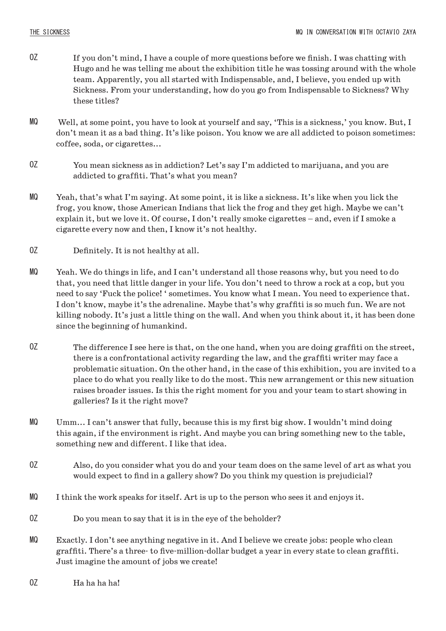- If you don't mind, I have a couple of more questions before we finish. I was chatting with Hugo and he was telling me about the exhibition title he was tossing around with the whole team. Apparently, you all started with Indispensable, and, I believe, you ended up with Sickness. From your understanding, how do you go from Indispensable to Sickness? Why these titles? OZ
- Well, at some point, you have to look at yourself and say, 'This is a sickness,' you know. But, I don't mean it as a bad thing. It's like poison. You know we are all addicted to poison sometimes: coffee, soda, or cigarettes... MQ
- You mean sickness as in addiction? Let's say I'm addicted to marijuana, and you are addicted to graffiti. That's what you mean? OZ
- Yeah, that's what I'm saying. At some point, it is like a sickness. It's like when you lick the frog, you know, those American Indians that lick the frog and they get high. Maybe we can't explain it, but we love it. Of course, I don't really smoke cigarettes – and, even if I smoke a cigarette every now and then, I know it's not healthy. MQ
- Definitely. It is not healthy at all. OZ
- Yeah. We do things in life, and I can't understand all those reasons why, but you need to do that, you need that little danger in your life. You don't need to throw a rock at a cop, but you need to say 'Fuck the police! ' sometimes. You know what I mean. You need to experience that. I don't know, maybe it's the adrenaline. Maybe that's why graffiti is so much fun. We are not killing nobody. It's just a little thing on the wall. And when you think about it, it has been done since the beginning of humankind. MQ
- The difference I see here is that, on the one hand, when you are doing graffiti on the street, there is a confrontational activity regarding the law, and the graffiti writer may face a problematic situation. On the other hand, in the case of this exhibition, you are invited to a place to do what you really like to do the most. This new arrangement or this new situation raises broader issues. Is this the right moment for you and your team to start showing in galleries? Is it the right move? OZ
- Umm... I can't answer that fully, because this is my first big show. I wouldn't mind doing this again, if the environment is right. And maybe you can bring something new to the table, something new and different. I like that idea. MQ
- Also, do you consider what you do and your team does on the same level of art as what you would expect to find in a gallery show? Do you think my question is prejudicial? OZ
- I think the work speaks for itself. Art is up to the person who sees it and enjoys it. MQ
- Do you mean to say that it is in the eye of the beholder? OZ
- Exactly. I don't see anything negative in it. And I believe we create jobs: people who clean graffiti. There's a three- to five-million-dollar budget a year in every state to clean graffiti. Just imagine the amount of jobs we create! MQ
- Ha ha ha! OZ